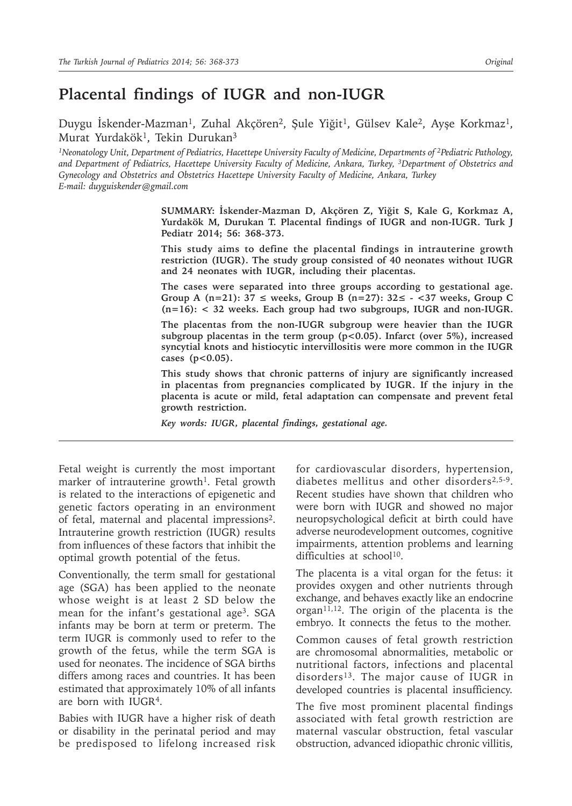# **Placental findings of IUGR and non-IUGR**

Duygu İskender-Mazman<sup>1</sup>, Zuhal Akçören<sup>2</sup>, Şule Yiğit<sup>1</sup>, Gülsev Kale<sup>2</sup>, Ayşe Korkmaz<sup>1</sup>, Murat Yurdakök<sup>1</sup>, Tekin Durukan<sup>3</sup>

*1Neonatology Unit, Department of Pediatrics, Hacettepe University Faculty of Medicine, Departments of 2Pediatric Pathology, and Department of Pediatrics, Hacettepe University Faculty of Medicine, Ankara, Turkey, 3Department of Obstetrics and Gynecology and Obstetrics and Obstetrics Hacettepe University Faculty of Medicine, Ankara, Turkey E-mail: duyguiskender@gmail.com*

> **SUMMARY: İskender-Mazman D, Akçören Z, Yiğit S, Kale G, Korkmaz A, Yurdakök M, Durukan T. Placental findings of IUGR and non-IUGR. Turk J Pediatr 2014; 56: 368-373.**

> **This study aims to define the placental findings in intrauterine growth restriction (IUGR). The study group consisted of 40 neonates without IUGR and 24 neonates with IUGR, including their placentas.**

> **The cases were separated into three groups according to gestational age. Group A (n=21): 37 ≤ weeks, Group B (n=27): 32≤ - <37 weeks, Group C (n=16): < 32 weeks. Each group had two subgroups, IUGR and non-IUGR.**

> **The placentas from the non-IUGR subgroup were heavier than the IUGR subgroup placentas in the term group (p<0.05). Infarct (over 5%), increased syncytial knots and histiocytic intervillositis were more common in the IUGR cases (p<0.05).**

> **This study shows that chronic patterns of injury are significantly increased in placentas from pregnancies complicated by IUGR. If the injury in the placenta is acute or mild, fetal adaptation can compensate and prevent fetal growth restriction.**

*Key words: IUGR, placental findings, gestational age.*

Fetal weight is currently the most important marker of intrauterine growth<sup>1</sup>. Fetal growth is related to the interactions of epigenetic and genetic factors operating in an environment of fetal, maternal and placental impressions2. Intrauterine growth restriction (IUGR) results from influences of these factors that inhibit the optimal growth potential of the fetus.

Conventionally, the term small for gestational age (SGA) has been applied to the neonate whose weight is at least 2 SD below the mean for the infant's gestational age<sup>3</sup>. SGA infants may be born at term or preterm. The term IUGR is commonly used to refer to the growth of the fetus, while the term SGA is used for neonates. The incidence of SGA births differs among races and countries. It has been estimated that approximately 10% of all infants are born with IUGR4.

Babies with IUGR have a higher risk of death or disability in the perinatal period and may be predisposed to lifelong increased risk

for cardiovascular disorders, hypertension, diabetes mellitus and other disorders2,5-9. Recent studies have shown that children who were born with IUGR and showed no major neuropsychological deficit at birth could have adverse neurodevelopment outcomes, cognitive impairments, attention problems and learning difficulties at school<sup>10</sup>.

The placenta is a vital organ for the fetus: it provides oxygen and other nutrients through exchange, and behaves exactly like an endocrine organ $11,12$ . The origin of the placenta is the embryo. It connects the fetus to the mother.

Common causes of fetal growth restriction are chromosomal abnormalities, metabolic or nutritional factors, infections and placental disorders13. The major cause of IUGR in developed countries is placental insufficiency.

The five most prominent placental findings associated with fetal growth restriction are maternal vascular obstruction, fetal vascular obstruction, advanced idiopathic chronic villitis,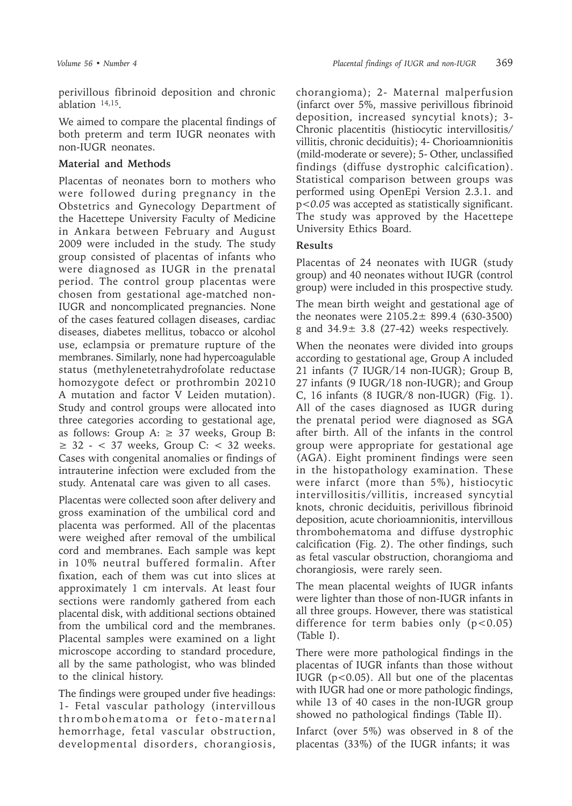perivillous fibrinoid deposition and chronic ablation 14,15.

We aimed to compare the placental findings of both preterm and term IUGR neonates with non-IUGR neonates.

## **Material and Methods**

Placentas of neonates born to mothers who were followed during pregnancy in the Obstetrics and Gynecology Department of the Hacettepe University Faculty of Medicine in Ankara between February and August 2009 were included in the study. The study group consisted of placentas of infants who were diagnosed as IUGR in the prenatal period. The control group placentas were chosen from gestational age-matched non-IUGR and noncomplicated pregnancies. None of the cases featured collagen diseases, cardiac diseases, diabetes mellitus, tobacco or alcohol use, eclampsia or premature rupture of the membranes. Similarly, none had hypercoagulable status (methylenetetrahydrofolate reductase homozygote defect or prothrombin 20210 A mutation and factor V Leiden mutation). Study and control groups were allocated into three categories according to gestational age, as follows: Group A:  $\geq$  37 weeks, Group B:  $\geq$  32 - < 37 weeks, Group C: < 32 weeks. Cases with congenital anomalies or findings of intrauterine infection were excluded from the study. Antenatal care was given to all cases.

Placentas were collected soon after delivery and gross examination of the umbilical cord and placenta was performed. All of the placentas were weighed after removal of the umbilical cord and membranes. Each sample was kept in 10% neutral buffered formalin. After fixation, each of them was cut into slices at approximately 1 cm intervals. At least four sections were randomly gathered from each placental disk, with additional sections obtained from the umbilical cord and the membranes. Placental samples were examined on a light microscope according to standard procedure, all by the same pathologist, who was blinded to the clinical history.

The findings were grouped under five headings: 1- Fetal vascular pathology (intervillous thrombohematoma or feto-maternal hemorrhage, fetal vascular obstruction, developmental disorders, chorangiosis,

chorangioma); 2- Maternal malperfusion (infarct over 5%, massive perivillous fibrinoid deposition, increased syncytial knots); 3- Chronic placentitis (histiocytic intervillositis/ villitis, chronic deciduitis); 4- Chorioamnionitis (mild-moderate or severe); 5- Other, unclassified findings (diffuse dystrophic calcification). Statistical comparison between groups was performed using OpenEpi Version 2.3.1. and p*<0.05* was accepted as statistically significant. The study was approved by the Hacettepe University Ethics Board.

# **Results**

Placentas of 24 neonates with IUGR (study group) and 40 neonates without IUGR (control group) were included in this prospective study.

The mean birth weight and gestational age of the neonates were  $2105.2 \pm 899.4$  (630-3500) g and  $34.9 \pm 3.8$  (27-42) weeks respectively.

When the neonates were divided into groups according to gestational age, Group A included 21 infants (7 IUGR/14 non-IUGR); Group B, 27 infants (9 IUGR/18 non-IUGR); and Group C, 16 infants (8 IUGR/8 non-IUGR) (Fig. 1). All of the cases diagnosed as IUGR during the prenatal period were diagnosed as SGA after birth. All of the infants in the control group were appropriate for gestational age (AGA). Eight prominent findings were seen in the histopathology examination. These were infarct (more than 5%), histiocytic intervillositis/villitis, increased syncytial knots, chronic deciduitis, perivillous fibrinoid deposition, acute chorioamnionitis, intervillous thrombohematoma and diffuse dystrophic calcification (Fig. 2). The other findings, such as fetal vascular obstruction, chorangioma and chorangiosis, were rarely seen.

The mean placental weights of IUGR infants were lighter than those of non-IUGR infants in all three groups. However, there was statistical difference for term babies only  $(p<0.05)$ (Table I).

There were more pathological findings in the placentas of IUGR infants than those without IUGR  $(p<0.05)$ . All but one of the placentas with IUGR had one or more pathologic findings, while 13 of 40 cases in the non-IUGR group showed no pathological findings (Table II).

Infarct (over 5%) was observed in 8 of the placentas (33%) of the IUGR infants; it was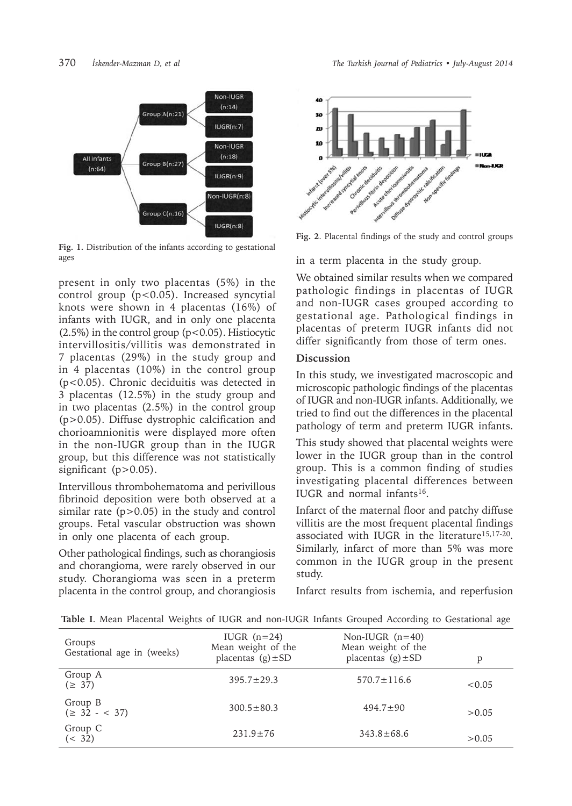

**Fig. 1.** Distribution of the infants according to gestational ages

present in only two placentas (5%) in the control group (p<0.05). Increased syncytial knots were shown in 4 placentas (16%) of infants with IUGR, and in only one placenta  $(2.5\%)$  in the control group  $(p<0.05)$ . Histiocytic intervillositis/villitis was demonstrated in 7 placentas (29%) in the study group and in 4 placentas (10%) in the control group (p<0.05). Chronic deciduitis was detected in 3 placentas (12.5%) in the study group and in two placentas (2.5%) in the control group (p>0.05). Diffuse dystrophic calcification and chorioamnionitis were displayed more often in the non-IUGR group than in the IUGR group, but this difference was not statistically significant  $(p>0.05)$ .

Intervillous thrombohematoma and perivillous fibrinoid deposition were both observed at a similar rate (p>0.05) in the study and control groups. Fetal vascular obstruction was shown in only one placenta of each group.

Other pathological findings, such as chorangiosis and chorangioma, were rarely observed in our study. Chorangioma was seen in a preterm placenta in the control group, and chorangiosis



**Fig. 2**. Placental findings of the study and control groups

in a term placenta in the study group.

We obtained similar results when we compared pathologic findings in placentas of IUGR and non-IUGR cases grouped according to gestational age. Pathological findings in placentas of preterm IUGR infants did not differ significantly from those of term ones.

## **Discussion**

In this study, we investigated macroscopic and microscopic pathologic findings of the placentas of IUGR and non-IUGR infants. Additionally, we tried to find out the differences in the placental pathology of term and preterm IUGR infants.

This study showed that placental weights were lower in the IUGR group than in the control group. This is a common finding of studies investigating placental differences between IUGR and normal infants16.

Infarct of the maternal floor and patchy diffuse villitis are the most frequent placental findings associated with IUGR in the literature15,17-20. Similarly, infarct of more than 5% was more common in the IUGR group in the present study.

Infarct results from ischemia, and reperfusion

**Table I**. Mean Placental Weights of IUGR and non-IUGR Infants Grouped According to Gestational age

| Groups<br>Gestational age in (weeks) | IUGR $(n=24)$<br>Mean weight of the<br>placentas $(g) \pm SD$ | Non-IUGR $(n=40)$<br>Mean weight of the<br>placentas $(g) \pm SD$ | D      |
|--------------------------------------|---------------------------------------------------------------|-------------------------------------------------------------------|--------|
| Group A<br>$(\geq 37)$               | $395.7 \pm 29.3$                                              | $570.7 \pm 116.6$                                                 | <0.05  |
| Group B<br>$(\geq 32 - < 37)$        | $300.5 \pm 80.3$                                              | $494.7+90$                                                        | > 0.05 |
| Group C<br>(< 32)                    | $231.9 \pm 76$                                                | $343.8 \pm 68.6$                                                  | > 0.05 |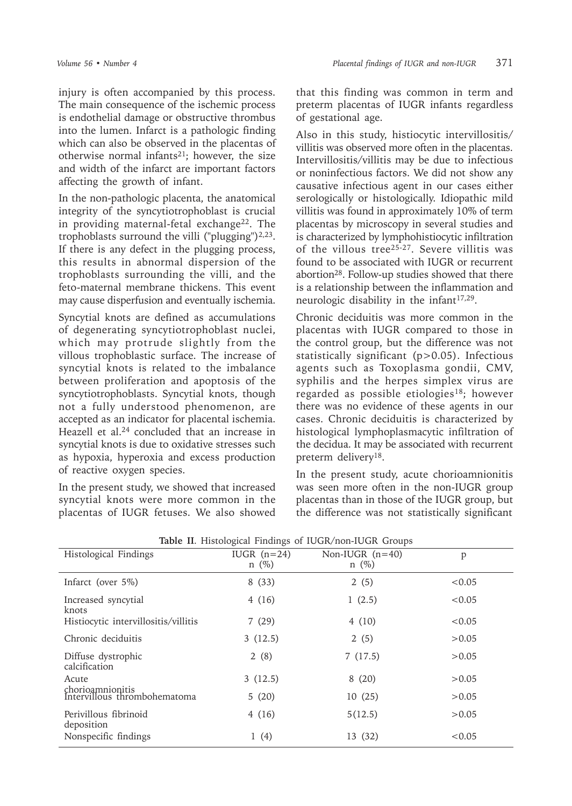injury is often accompanied by this process. The main consequence of the ischemic process is endothelial damage or obstructive thrombus into the lumen. Infarct is a pathologic finding which can also be observed in the placentas of otherwise normal infants<sup>21</sup>; however, the size and width of the infarct are important factors affecting the growth of infant.

In the non-pathologic placenta, the anatomical integrity of the syncytiotrophoblast is crucial in providing maternal-fetal exchange<sup>22</sup>. The trophoblasts surround the villi ("plugging") $^{2,23}$ . If there is any defect in the plugging process, this results in abnormal dispersion of the trophoblasts surrounding the villi, and the feto-maternal membrane thickens. This event may cause disperfusion and eventually ischemia.

Syncytial knots are defined as accumulations of degenerating syncytiotrophoblast nuclei, which may protrude slightly from the villous trophoblastic surface. The increase of syncytial knots is related to the imbalance between proliferation and apoptosis of the syncytiotrophoblasts. Syncytial knots, though not a fully understood phenomenon, are accepted as an indicator for placental ischemia. Heazell et al.24 concluded that an increase in syncytial knots is due to oxidative stresses such as hypoxia, hyperoxia and excess production of reactive oxygen species.

In the present study, we showed that increased syncytial knots were more common in the placentas of IUGR fetuses. We also showed

that this finding was common in term and preterm placentas of IUGR infants regardless of gestational age.

Also in this study, histiocytic intervillositis/ villitis was observed more often in the placentas. Intervillositis/villitis may be due to infectious or noninfectious factors. We did not show any causative infectious agent in our cases either serologically or histologically. Idiopathic mild villitis was found in approximately 10% of term placentas by microscopy in several studies and is characterized by lymphohistiocytic infiltration of the villous tree25-27. Severe villitis was found to be associated with IUGR or recurrent abortion28. Follow-up studies showed that there is a relationship between the inflammation and neurologic disability in the infant $17,29$ .

Chronic deciduitis was more common in the placentas with IUGR compared to those in the control group, but the difference was not statistically significant (p>0.05). Infectious agents such as Toxoplasma gondii, CMV, syphilis and the herpes simplex virus are regarded as possible etiologies<sup>18</sup>; however there was no evidence of these agents in our cases. Chronic deciduitis is characterized by histological lymphoplasmacytic infiltration of the decidua. It may be associated with recurrent preterm delivery<sup>18</sup>.

In the present study, acute chorioamnionitis was seen more often in the non-IUGR group placentas than in those of the IUGR group, but the difference was not statistically significant

| Histological Findings                            | IUGR $(n=24)$<br>$n \ (\%)$ | Non-IUGR $(n=40)$<br>$n \ (\%)$ | p      |  |
|--------------------------------------------------|-----------------------------|---------------------------------|--------|--|
| Infarct (over 5%)                                | 8(33)                       | 2(5)                            | < 0.05 |  |
| Increased syncytial<br>knots                     | 4(16)                       | 1(2.5)                          | < 0.05 |  |
| Histiocytic intervillositis/villitis             | 7(29)                       | 4(10)                           | < 0.05 |  |
| Chronic deciduitis                               | 3(12.5)                     | 2(5)                            | >0.05  |  |
| Diffuse dystrophic<br>calcification              | 2(8)                        | 7(17.5)                         | > 0.05 |  |
| Acute                                            | 3(12.5)                     | 8(20)                           | >0.05  |  |
| chorioamnionitis<br>Intervillous thrombohematoma | 5(20)                       | 10(25)                          | >0.05  |  |
| Perivillous fibrinoid<br>deposition              | 4(16)                       | 5(12.5)                         | >0.05  |  |
| Nonspecific findings                             | 1(4)                        | 13 (32)                         | < 0.05 |  |

**Table II**. Histological Findings of IUGR/non-IUGR Groups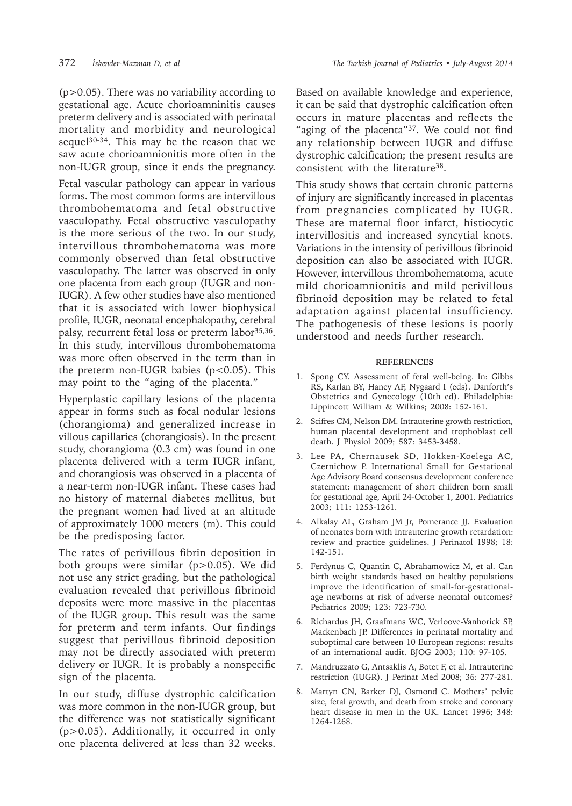(p>0.05). There was no variability according to gestational age. Acute chorioamninitis causes preterm delivery and is associated with perinatal mortality and morbidity and neurological sequel<sup>30-34</sup>. This may be the reason that we saw acute chorioamnionitis more often in the non-IUGR group, since it ends the pregnancy.

Fetal vascular pathology can appear in various forms. The most common forms are intervillous thrombohematoma and fetal obstructive vasculopathy. Fetal obstructive vasculopathy is the more serious of the two. In our study, intervillous thrombohematoma was more commonly observed than fetal obstructive vasculopathy. The latter was observed in only one placenta from each group (IUGR and non-IUGR). A few other studies have also mentioned that it is associated with lower biophysical profile, IUGR, neonatal encephalopathy, cerebral palsy, recurrent fetal loss or preterm labor<sup>35,36</sup>. In this study, intervillous thrombohematoma was more often observed in the term than in the preterm non-IUGR babies  $(p<0.05)$ . This may point to the "aging of the placenta."

Hyperplastic capillary lesions of the placenta appear in forms such as focal nodular lesions (chorangioma) and generalized increase in villous capillaries (chorangiosis). In the present study, chorangioma (0.3 cm) was found in one placenta delivered with a term IUGR infant, and chorangiosis was observed in a placenta of a near-term non-IUGR infant. These cases had no history of maternal diabetes mellitus, but the pregnant women had lived at an altitude of approximately 1000 meters (m). This could be the predisposing factor.

The rates of perivillous fibrin deposition in both groups were similar (p>0.05). We did not use any strict grading, but the pathological evaluation revealed that perivillous fibrinoid deposits were more massive in the placentas of the IUGR group. This result was the same for preterm and term infants. Our findings suggest that perivillous fibrinoid deposition may not be directly associated with preterm delivery or IUGR. It is probably a nonspecific sign of the placenta.

In our study, diffuse dystrophic calcification was more common in the non-IUGR group, but the difference was not statistically significant (p>0.05). Additionally, it occurred in only one placenta delivered at less than 32 weeks.

Based on available knowledge and experience, it can be said that dystrophic calcification often occurs in mature placentas and reflects the "aging of the placenta"<sup>37</sup>. We could not find any relationship between IUGR and diffuse dystrophic calcification; the present results are consistent with the literature38.

This study shows that certain chronic patterns of injury are significantly increased in placentas from pregnancies complicated by IUGR. These are maternal floor infarct, histiocytic intervillositis and increased syncytial knots. Variations in the intensity of perivillous fibrinoid deposition can also be associated with IUGR. However, intervillous thrombohematoma, acute mild chorioamnionitis and mild perivillous fibrinoid deposition may be related to fetal adaptation against placental insufficiency. The pathogenesis of these lesions is poorly understood and needs further research.

#### **REFERENCES**

- 1. Spong CY. Assessment of fetal well-being. In: Gibbs RS, Karlan BY, Haney AF, Nygaard I (eds). Danforth's Obstetrics and Gynecology (10th ed). Philadelphia: Lippincott William & Wilkins; 2008: 152-161.
- 2. Scifres CM, Nelson DM. Intrauterine growth restriction, human placental development and trophoblast cell death. J Physiol 2009; 587: 3453-3458.
- 3. Lee PA, Chernausek SD, Hokken-Koelega AC, Czernichow P. International Small for Gestational Age Advisory Board consensus development conference statement: management of short children born small for gestational age, April 24-October 1, 2001. Pediatrics 2003; 111: 1253-1261.
- 4. Alkalay AL, Graham JM Jr, Pomerance JJ. Evaluation of neonates born with intrauterine growth retardation: review and practice guidelines. J Perinatol 1998; 18: 142-151.
- 5. Ferdynus C, Quantin C, Abrahamowicz M, et al. Can birth weight standards based on healthy populations improve the identification of small-for-gestationalage newborns at risk of adverse neonatal outcomes? Pediatrics 2009; 123: 723-730.
- 6. Richardus JH, Graafmans WC, Verloove-Vanhorick SP, Mackenbach JP. Differences in perinatal mortality and suboptimal care between 10 European regions: results of an international audit. BJOG 2003; 110: 97-105.
- 7. Mandruzzato G, Antsaklis A, Botet F, et al. Intrauterine restriction (IUGR). J Perinat Med 2008; 36: 277-281.
- 8. Martyn CN, Barker DJ, Osmond C. Mothers' pelvic size, fetal growth, and death from stroke and coronary heart disease in men in the UK. Lancet 1996; 348: 1264-1268.